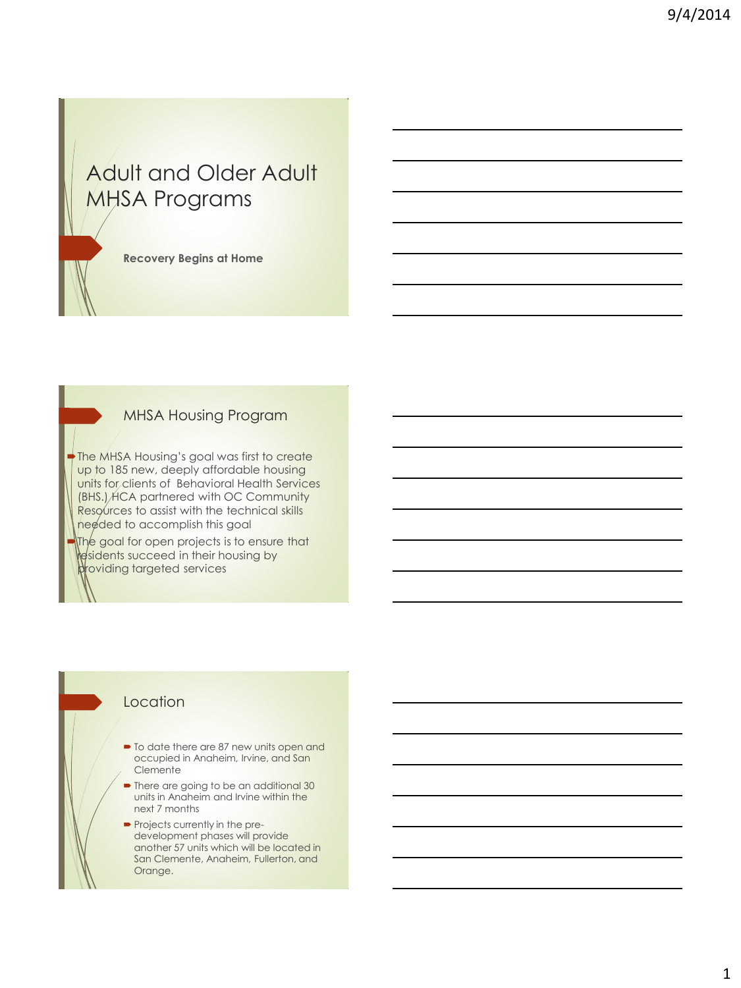# Adult and Older Adult MHSA Programs

**Recovery Begins at Home**

#### MHSA Housing Program

The MHSA Housing's goal was first to create up to 185 new, deeply affordable housing units for clients of Behavioral Health Services (BHS.) HCA partnered with OC Community Resources to assist with the technical skills needed to accomplish this goal

The goal for open projects is to ensure that residents succeed in their housing by providing targeted services

#### Location

- $\blacksquare$  To date there are 87 new units open and occupied in Anaheim, Irvine, and San **Clemente**
- There are going to be an additional 30 units in Anaheim and Irvine within the next 7 months
- **Projects currently in the pre**development phases will provide another 57 units which will be located in San Clemente, Anaheim, Fullerton, and Orange.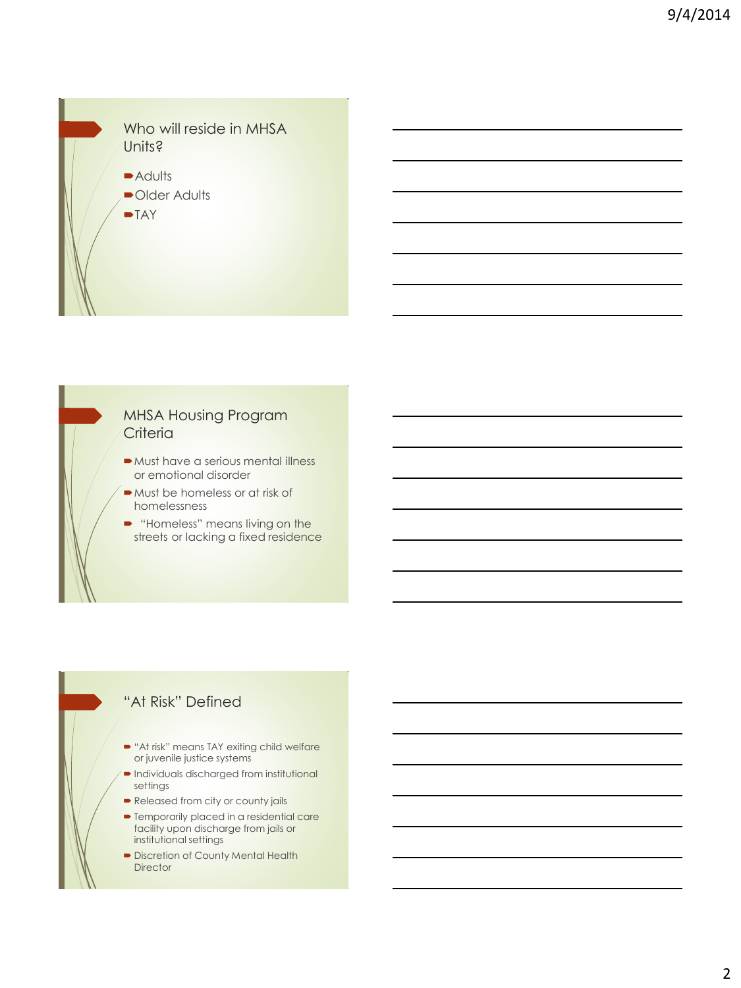

#### MHSA Housing Program **Criteria**

- Must have a serious mental illness or emotional disorder
- Must be homeless or at risk of homelessness
- "Homeless" means living on the streets or lacking a fixed residence

### "At Risk" Defined

- **"At risk" means TAY exiting child welfare** or juvenile justice systems
- Individuals discharged from institutional settings
- Released from city or county jails
- **•** Temporarily placed in a residential care facility upon discharge from jails or institutional settings
- **Discretion of County Mental Health Director**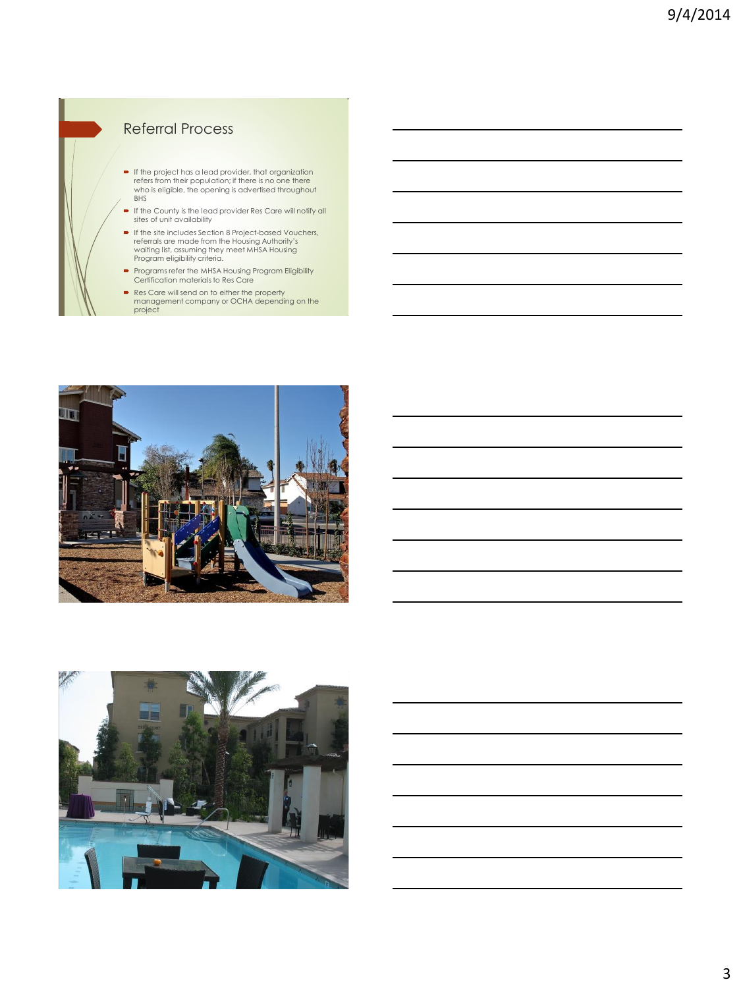## Referral Process

- If the project has a lead provider, that organization refers from their population; if there is no one there who is eligible, the opening is advertised throughout BHS
- If the County is the lead provider Res Care will notify all sites of unit availability
- If the site includes Section 8 Project-based Vouchers, referrals are made from the Housing Authority's waiting list, assuming they meet MHSA Housing Program eligibility criteria.
- Programs refer the MHSA Housing Program Eligibility Certification materials to Res Care
- Res Care will send on to either the property management company or OCHA depending on the project